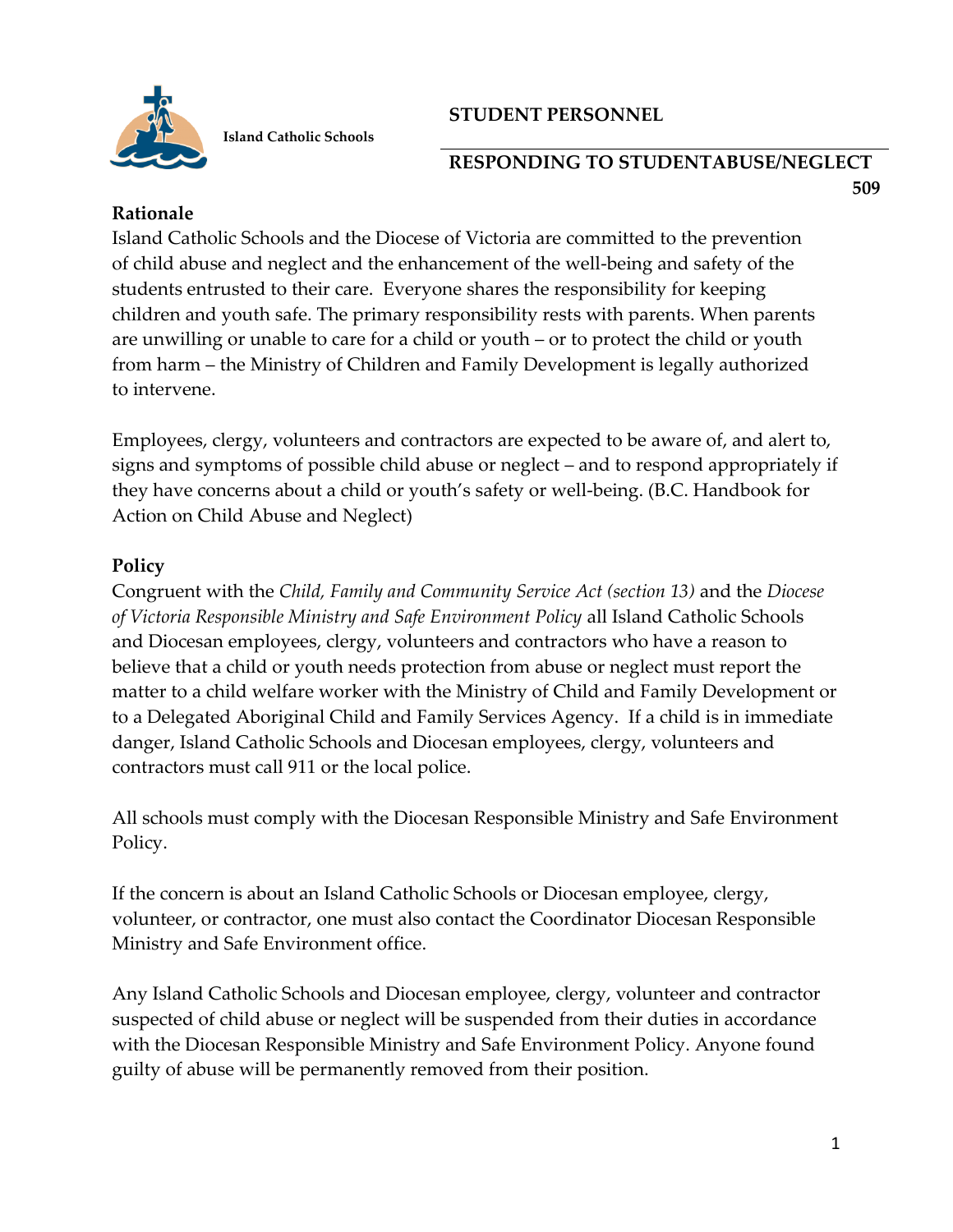

 **Island Catholic Schools**

# **STUDENT PERSONNEL**

#### **RESPONDING TO STUDENTABUSE/NEGLECT 509**

### **Rationale**

Island Catholic Schools and the Diocese of Victoria are committed to the prevention of child abuse and neglect and the enhancement of the well-being and safety of the students entrusted to their care. Everyone shares the responsibility for keeping children and youth safe. The primary responsibility rests with parents. When parents are unwilling or unable to care for a child or youth – or to protect the child or youth from harm – the Ministry of Children and Family Development is legally authorized to intervene.

Employees, clergy, volunteers and contractors are expected to be aware of, and alert to, signs and symptoms of possible child abuse or neglect – and to respond appropriately if they have concerns about a child or youth's safety or well-being. (B.C. Handbook for Action on Child Abuse and Neglect)

## **Policy**

Congruent with the *Child, Family and Community Service Act (section 13)* and the *Diocese of Victoria Responsible Ministry and Safe Environment Policy* all Island Catholic Schools and Diocesan employees, clergy, volunteers and contractors who have a reason to believe that a child or youth needs protection from abuse or neglect must report the matter to a child welfare worker with the Ministry of Child and Family Development or to a Delegated Aboriginal Child and Family Services Agency. If a child is in immediate danger, Island Catholic Schools and Diocesan employees, clergy, volunteers and contractors must call 911 or the local police.

All schools must comply with the Diocesan Responsible Ministry and Safe Environment Policy.

If the concern is about an Island Catholic Schools or Diocesan employee, clergy, volunteer, or contractor, one must also contact the Coordinator Diocesan Responsible Ministry and Safe Environment office.

Any Island Catholic Schools and Diocesan employee, clergy, volunteer and contractor suspected of child abuse or neglect will be suspended from their duties in accordance with the Diocesan Responsible Ministry and Safe Environment Policy. Anyone found guilty of abuse will be permanently removed from their position.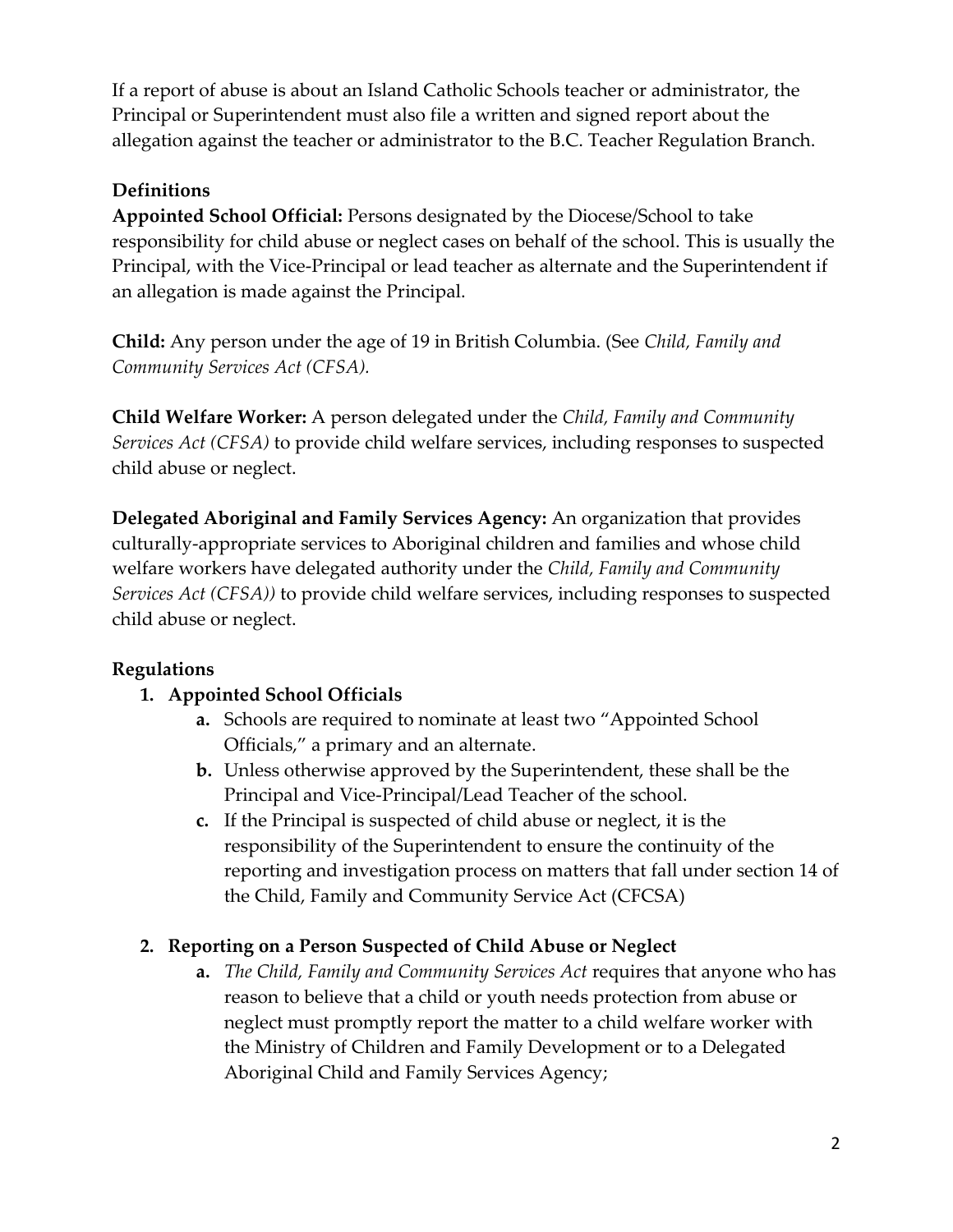If a report of abuse is about an Island Catholic Schools teacher or administrator, the Principal or Superintendent must also file a written and signed report about the allegation against the teacher or administrator to the B.C. Teacher Regulation Branch.

# **Definitions**

**Appointed School Official:** Persons designated by the Diocese/School to take responsibility for child abuse or neglect cases on behalf of the school. This is usually the Principal, with the Vice-Principal or lead teacher as alternate and the Superintendent if an allegation is made against the Principal.

**Child:** Any person under the age of 19 in British Columbia. (See *Child, Family and Community Services Act (CFSA).*

**Child Welfare Worker:** A person delegated under the *Child, Family and Community Services Act (CFSA)* to provide child welfare services, including responses to suspected child abuse or neglect.

**Delegated Aboriginal and Family Services Agency:** An organization that provides culturally-appropriate services to Aboriginal children and families and whose child welfare workers have delegated authority under the *Child, Family and Community Services Act (CFSA))* to provide child welfare services, including responses to suspected child abuse or neglect.

## **Regulations**

## **1. Appointed School Officials**

- **a.** Schools are required to nominate at least two "Appointed School Officials," a primary and an alternate.
- **b.** Unless otherwise approved by the Superintendent, these shall be the Principal and Vice-Principal/Lead Teacher of the school.
- **c.** If the Principal is suspected of child abuse or neglect, it is the responsibility of the Superintendent to ensure the continuity of the reporting and investigation process on matters that fall under section 14 of the Child, Family and Community Service Act (CFCSA)

## **2. Reporting on a Person Suspected of Child Abuse or Neglect**

**a.** *The Child, Family and Community Services Act* requires that anyone who has reason to believe that a child or youth needs protection from abuse or neglect must promptly report the matter to a child welfare worker with the Ministry of Children and Family Development or to a Delegated Aboriginal Child and Family Services Agency;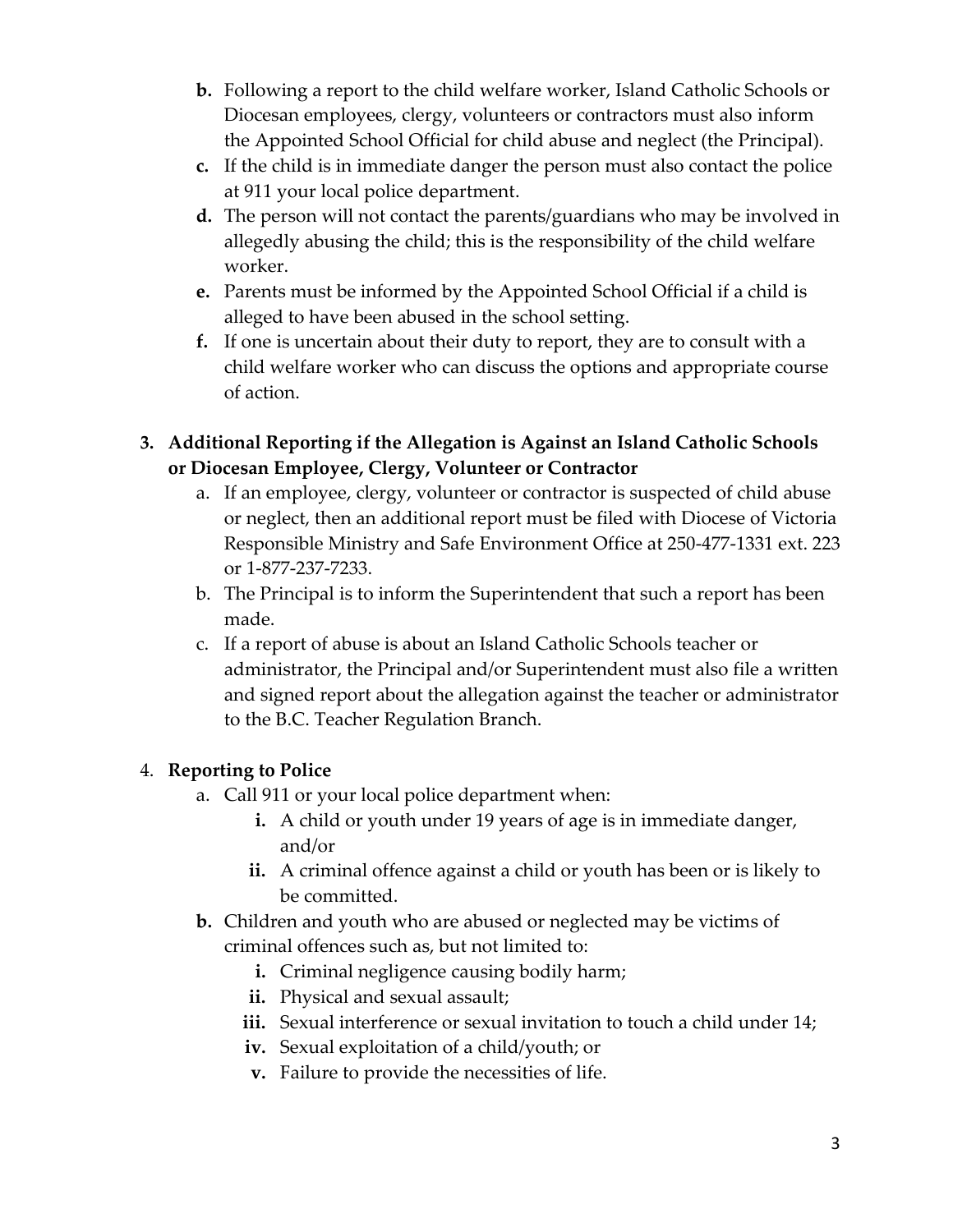- **b.** Following a report to the child welfare worker, Island Catholic Schools or Diocesan employees, clergy, volunteers or contractors must also inform the Appointed School Official for child abuse and neglect (the Principal).
- **c.** If the child is in immediate danger the person must also contact the police at 911 your local police department.
- **d.** The person will not contact the parents/guardians who may be involved in allegedly abusing the child; this is the responsibility of the child welfare worker.
- **e.** Parents must be informed by the Appointed School Official if a child is alleged to have been abused in the school setting.
- **f.** If one is uncertain about their duty to report, they are to consult with a child welfare worker who can discuss the options and appropriate course of action.
- **3. Additional Reporting if the Allegation is Against an Island Catholic Schools or Diocesan Employee, Clergy, Volunteer or Contractor**
	- a. If an employee, clergy, volunteer or contractor is suspected of child abuse or neglect, then an additional report must be filed with Diocese of Victoria Responsible Ministry and Safe Environment Office at 250-477-1331 ext. 223 or 1-877-237-7233.
	- b. The Principal is to inform the Superintendent that such a report has been made.
	- c. If a report of abuse is about an Island Catholic Schools teacher or administrator, the Principal and/or Superintendent must also file a written and signed report about the allegation against the teacher or administrator to the B.C. Teacher Regulation Branch.

# 4. **Reporting to Police**

- a. Call 911 or your local police department when:
	- **i.** A child or youth under 19 years of age is in immediate danger, and/or
	- **ii.** A criminal offence against a child or youth has been or is likely to be committed.
- **b.** Children and youth who are abused or neglected may be victims of criminal offences such as, but not limited to:
	- **i.** Criminal negligence causing bodily harm;
	- **ii.** Physical and sexual assault;
	- **iii.** Sexual interference or sexual invitation to touch a child under 14;
	- **iv.** Sexual exploitation of a child/youth; or
	- **v.** Failure to provide the necessities of life.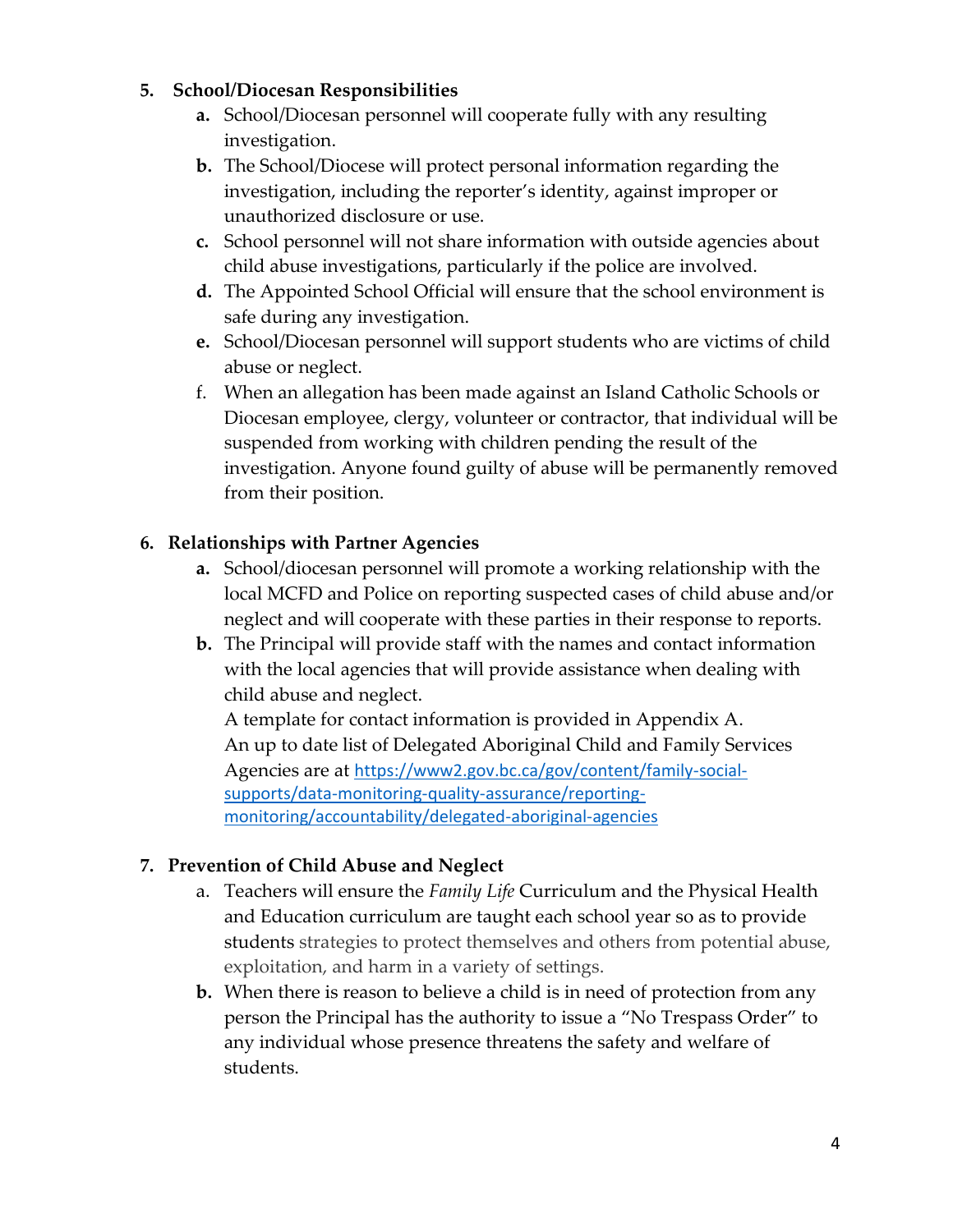#### **5. School/Diocesan Responsibilities**

- **a.** School/Diocesan personnel will cooperate fully with any resulting investigation.
- **b.** The School/Diocese will protect personal information regarding the investigation, including the reporter's identity, against improper or unauthorized disclosure or use.
- **c.** School personnel will not share information with outside agencies about child abuse investigations, particularly if the police are involved.
- **d.** The Appointed School Official will ensure that the school environment is safe during any investigation.
- **e.** School/Diocesan personnel will support students who are victims of child abuse or neglect.
- f. When an allegation has been made against an Island Catholic Schools or Diocesan employee, clergy, volunteer or contractor, that individual will be suspended from working with children pending the result of the investigation. Anyone found guilty of abuse will be permanently removed from their position.

# **6. Relationships with Partner Agencies**

- **a.** School/diocesan personnel will promote a working relationship with the local MCFD and Police on reporting suspected cases of child abuse and/or neglect and will cooperate with these parties in their response to reports.
- **b.** The Principal will provide staff with the names and contact information with the local agencies that will provide assistance when dealing with child abuse and neglect.

A template for contact information is provided in Appendix A. An up to date list of Delegated Aboriginal Child and Family Services Agencies are at [https://www2.gov.bc.ca/gov/content/family-social](https://www2.gov.bc.ca/gov/content/family-social-supports/data-monitoring-quality-assurance/reporting-monitoring/accountability/delegated-aboriginal-agencies)[supports/data-monitoring-quality-assurance/reporting](https://www2.gov.bc.ca/gov/content/family-social-supports/data-monitoring-quality-assurance/reporting-monitoring/accountability/delegated-aboriginal-agencies)[monitoring/accountability/delegated-aboriginal-agencies](https://www2.gov.bc.ca/gov/content/family-social-supports/data-monitoring-quality-assurance/reporting-monitoring/accountability/delegated-aboriginal-agencies)

## **7. Prevention of Child Abuse and Neglect**

- a. Teachers will ensure the *Family Life* Curriculum and the Physical Health and Education curriculum are taught each school year so as to provide students strategies to protect themselves and others from potential abuse, exploitation, and harm in a variety of settings.
- **b.** When there is reason to believe a child is in need of protection from any person the Principal has the authority to issue a "No Trespass Order" to any individual whose presence threatens the safety and welfare of students.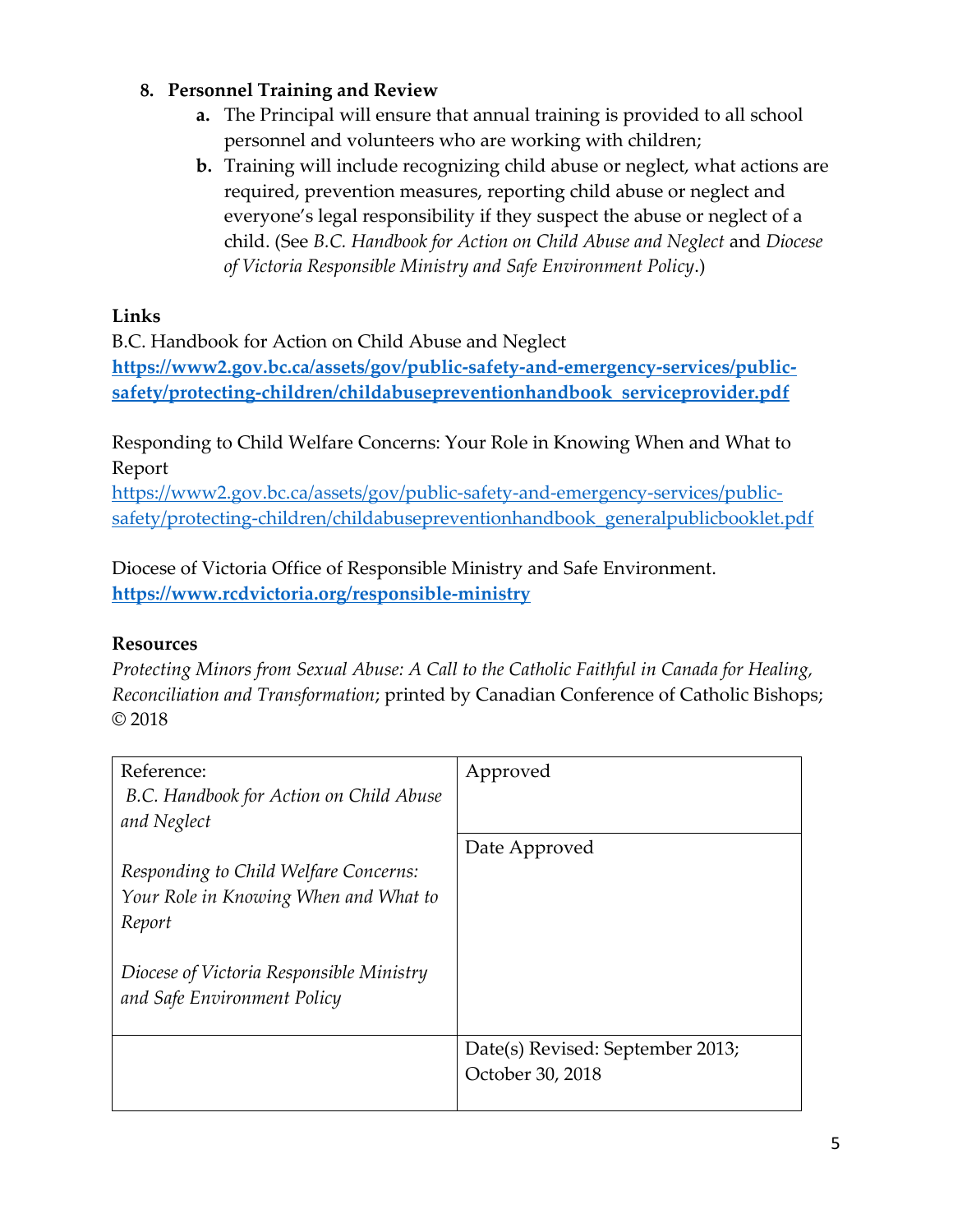### **8. Personnel Training and Review**

- **a.** The Principal will ensure that annual training is provided to all school personnel and volunteers who are working with children;
- **b.** Training will include recognizing child abuse or neglect, what actions are required, prevention measures, reporting child abuse or neglect and everyone's legal responsibility if they suspect the abuse or neglect of a child. (See *B.C. Handbook for Action on Child Abuse and Neglect* and *Diocese of Victoria Responsible Ministry and Safe Environment Policy*.)

### **Links**

B.C. Handbook for Action on Child Abuse and Neglect **[https://www2.gov.bc.ca/assets/gov/public-safety-and-emergency-services/public](https://www2.gov.bc.ca/assets/gov/public-safety-and-emergency-services/public-safety/protecting-children/childabusepreventionhandbook_serviceprovider.pdf)[safety/protecting-children/childabusepreventionhandbook\\_serviceprovider.pdf](https://www2.gov.bc.ca/assets/gov/public-safety-and-emergency-services/public-safety/protecting-children/childabusepreventionhandbook_serviceprovider.pdf)**

Responding to Child Welfare Concerns: Your Role in Knowing When and What to Report

[https://www2.gov.bc.ca/assets/gov/public-safety-and-emergency-services/public](https://www2.gov.bc.ca/assets/gov/public-safety-and-emergency-services/public-safety/protecting-children/childabusepreventionhandbook_generalpublicbooklet.pdf)[safety/protecting-children/childabusepreventionhandbook\\_generalpublicbooklet.pdf](https://www2.gov.bc.ca/assets/gov/public-safety-and-emergency-services/public-safety/protecting-children/childabusepreventionhandbook_generalpublicbooklet.pdf)

Diocese of Victoria Office of Responsible Ministry and Safe Environment. **<https://www.rcdvictoria.org/responsible-ministry>**

#### **Resources**

*Protecting Minors from Sexual Abuse: A Call to the Catholic Faithful in Canada for Healing, Reconciliation and Transformation*; printed by Canadian Conference of Catholic Bishops; © 2018

| Reference:                               | Approved                         |
|------------------------------------------|----------------------------------|
| B.C. Handbook for Action on Child Abuse  |                                  |
| and Neglect                              |                                  |
|                                          | Date Approved                    |
| Responding to Child Welfare Concerns:    |                                  |
| Your Role in Knowing When and What to    |                                  |
| Report                                   |                                  |
|                                          |                                  |
| Diocese of Victoria Responsible Ministry |                                  |
| and Safe Environment Policy              |                                  |
|                                          |                                  |
|                                          | Date(s) Revised: September 2013; |
|                                          | October 30, 2018                 |
|                                          |                                  |